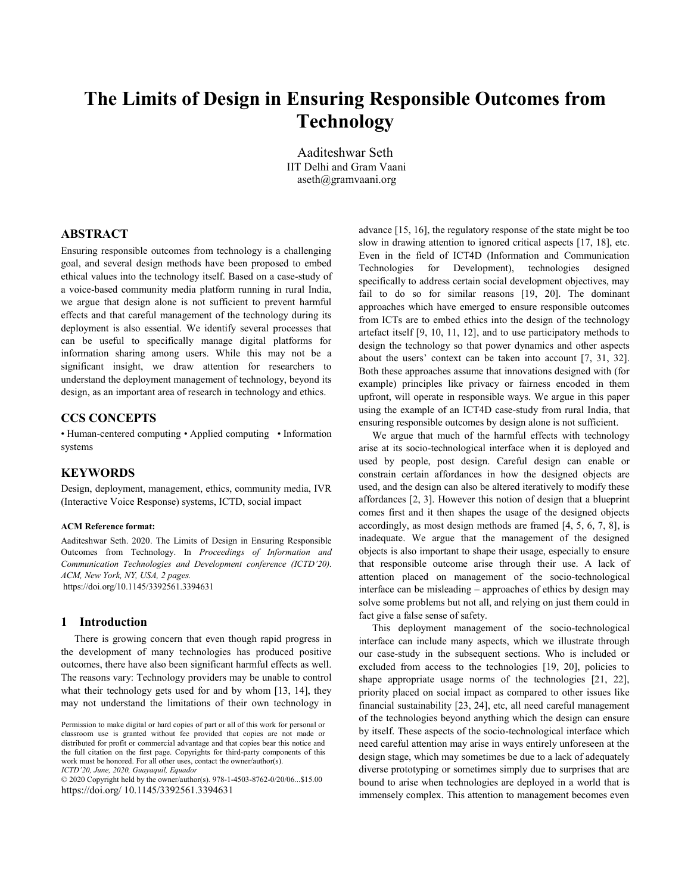# **The Limits of Design in Ensuring Responsible Outcomes from Technology**

Aaditeshwar Seth IIT Delhi and Gram Vaani aseth@gramvaani.org

# **ABSTRACT**

Ensuring responsible outcomes from technology is a challenging goal, and several design methods have been proposed to embed ethical values into the technology itself. Based on a case-study of a voice-based community media platform running in rural India, we argue that design alone is not sufficient to prevent harmful effects and that careful management of the technology during its deployment is also essential. We identify several processes that can be useful to specifically manage digital platforms for information sharing among users. While this may not be a significant insight, we draw attention for researchers to understand the deployment management of technology, beyond its design, as an important area of research in technology and ethics.

# **CCS CONCEPTS**

• Human-centered computing • Applied computing • Information systems

# **KEYWORDS**

Design, deployment, management, ethics, community media, IVR (Interactive Voice Response) systems, ICTD, social impact

#### **ACM Reference format:**

Aaditeshwar Seth. 2020. The Limits of Design in Ensuring Responsible Outcomes from Technology. In *Proceedings of Information and Communication Technologies and Development conference (ICTD'20). ACM, New York, NY, USA, 2 pages.* https://doi.org/10.1145/3392561.3394631

#### **1 Introduction**

There is growing concern that even though rapid progress in the development of many technologies has produced positive outcomes, there have also been significant harmful effects as well. The reasons vary: Technology providers may be unable to control what their technology gets used for and by whom [13, 14], they may not understand the limitations of their own technology in

*ICTD'20, June, 2020, Guayaquil, Equador*

advance [15, 16], the regulatory response of the state might be too slow in drawing attention to ignored critical aspects [17, 18], etc. Even in the field of ICT4D (Information and Communication Technologies for Development), technologies designed specifically to address certain social development objectives, may fail to do so for similar reasons [19, 20]. The dominant approaches which have emerged to ensure responsible outcomes from ICTs are to embed ethics into the design of the technology artefact itself [9, 10, 11, 12], and to use participatory methods to design the technology so that power dynamics and other aspects about the users' context can be taken into account [7, 31, 32]. Both these approaches assume that innovations designed with (for example) principles like privacy or fairness encoded in them upfront, will operate in responsible ways. We argue in this paper using the example of an ICT4D case-study from rural India, that ensuring responsible outcomes by design alone is not sufficient.

We argue that much of the harmful effects with technology arise at its socio-technological interface when it is deployed and used by people, post design. Careful design can enable or constrain certain affordances in how the designed objects are used, and the design can also be altered iteratively to modify these affordances [2, 3]. However this notion of design that a blueprint comes first and it then shapes the usage of the designed objects accordingly, as most design methods are framed [4, 5, 6, 7, 8], is inadequate. We argue that the management of the designed objects is also important to shape their usage, especially to ensure that responsible outcome arise through their use. A lack of attention placed on management of the socio-technological interface can be misleading – approaches of ethics by design may solve some problems but not all, and relying on just them could in fact give a false sense of safety.

This deployment management of the socio-technological interface can include many aspects, which we illustrate through our case-study in the subsequent sections. Who is included or excluded from access to the technologies [19, 20], policies to shape appropriate usage norms of the technologies [21, 22], priority placed on social impact as compared to other issues like financial sustainability [23, 24], etc, all need careful management of the technologies beyond anything which the design can ensure by itself. These aspects of the socio-technological interface which need careful attention may arise in ways entirely unforeseen at the design stage, which may sometimes be due to a lack of adequately diverse prototyping or sometimes simply due to surprises that are bound to arise when technologies are deployed in a world that is immensely complex. This attention to management becomes even

Permission to make digital or hard copies of part or all of this work for personal or classroom use is granted without fee provided that copies are not made or distributed for profit or commercial advantage and that copies bear this notice and the full citation on the first page. Copyrights for third-party components of this work must be honored. For all other uses, contact the owner/author(s).

<sup>© 2020</sup> Copyright held by the owner/author(s). 978-1-4503-8762-0/20/06...\$15.00 https://doi.org/ 10.1145/3392561.3394631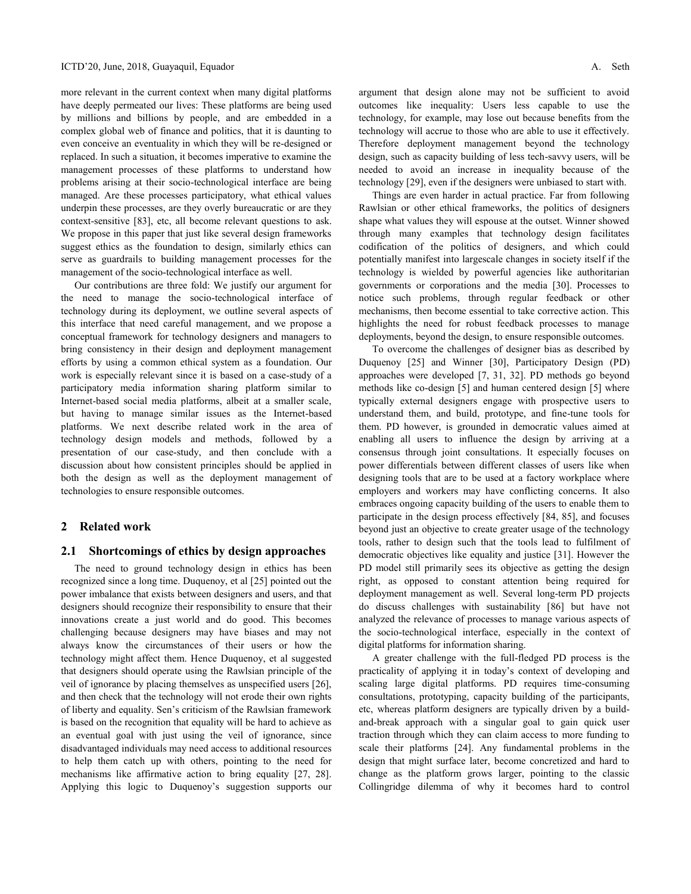more relevant in the current context when many digital platforms have deeply permeated our lives: These platforms are being used by millions and billions by people, and are embedded in a complex global web of finance and politics, that it is daunting to even conceive an eventuality in which they will be re-designed or replaced. In such a situation, it becomes imperative to examine the management processes of these platforms to understand how problems arising at their socio-technological interface are being managed. Are these processes participatory, what ethical values underpin these processes, are they overly bureaucratic or are they context-sensitive [83], etc, all become relevant questions to ask. We propose in this paper that just like several design frameworks suggest ethics as the foundation to design, similarly ethics can serve as guardrails to building management processes for the management of the socio-technological interface as well.

Our contributions are three fold: We justify our argument for the need to manage the socio-technological interface of technology during its deployment, we outline several aspects of this interface that need careful management, and we propose a conceptual framework for technology designers and managers to bring consistency in their design and deployment management efforts by using a common ethical system as a foundation. Our work is especially relevant since it is based on a case-study of a participatory media information sharing platform similar to Internet-based social media platforms, albeit at a smaller scale, but having to manage similar issues as the Internet-based platforms. We next describe related work in the area of technology design models and methods, followed by a presentation of our case-study, and then conclude with a discussion about how consistent principles should be applied in both the design as well as the deployment management of technologies to ensure responsible outcomes.

# **2 Related work**

# **2.1 Shortcomings of ethics by design approaches**

The need to ground technology design in ethics has been recognized since a long time. Duquenoy, et al [25] pointed out the power imbalance that exists between designers and users, and that designers should recognize their responsibility to ensure that their innovations create a just world and do good. This becomes challenging because designers may have biases and may not always know the circumstances of their users or how the technology might affect them. Hence Duquenoy, et al suggested that designers should operate using the Rawlsian principle of the veil of ignorance by placing themselves as unspecified users [26], and then check that the technology will not erode their own rights of liberty and equality. Sen's criticism of the Rawlsian framework is based on the recognition that equality will be hard to achieve as an eventual goal with just using the veil of ignorance, since disadvantaged individuals may need access to additional resources to help them catch up with others, pointing to the need for mechanisms like affirmative action to bring equality [27, 28]. Applying this logic to Duquenoy's suggestion supports our

argument that design alone may not be sufficient to avoid outcomes like inequality: Users less capable to use the technology, for example, may lose out because benefits from the technology will accrue to those who are able to use it effectively. Therefore deployment management beyond the technology design, such as capacity building of less tech-savvy users, will be needed to avoid an increase in inequality because of the technology [29], even if the designers were unbiased to start with.

Things are even harder in actual practice. Far from following Rawlsian or other ethical frameworks, the politics of designers shape what values they will espouse at the outset. Winner showed through many examples that technology design facilitates codification of the politics of designers, and which could potentially manifest into largescale changes in society itself if the technology is wielded by powerful agencies like authoritarian governments or corporations and the media [30]. Processes to notice such problems, through regular feedback or other mechanisms, then become essential to take corrective action. This highlights the need for robust feedback processes to manage deployments, beyond the design, to ensure responsible outcomes.

To overcome the challenges of designer bias as described by Duquenoy [25] and Winner [30], Participatory Design (PD) approaches were developed [7, 31, 32]. PD methods go beyond methods like co-design [5] and human centered design [5] where typically external designers engage with prospective users to understand them, and build, prototype, and fine-tune tools for them. PD however, is grounded in democratic values aimed at enabling all users to influence the design by arriving at a consensus through joint consultations. It especially focuses on power differentials between different classes of users like when designing tools that are to be used at a factory workplace where employers and workers may have conflicting concerns. It also embraces ongoing capacity building of the users to enable them to participate in the design process effectively [84, 85], and focuses beyond just an objective to create greater usage of the technology tools, rather to design such that the tools lead to fulfilment of democratic objectives like equality and justice [31]. However the PD model still primarily sees its objective as getting the design right, as opposed to constant attention being required for deployment management as well. Several long-term PD projects do discuss challenges with sustainability [86] but have not analyzed the relevance of processes to manage various aspects of the socio-technological interface, especially in the context of digital platforms for information sharing.

A greater challenge with the full-fledged PD process is the practicality of applying it in today's context of developing and scaling large digital platforms. PD requires time-consuming consultations, prototyping, capacity building of the participants, etc, whereas platform designers are typically driven by a buildand-break approach with a singular goal to gain quick user traction through which they can claim access to more funding to scale their platforms [24]. Any fundamental problems in the design that might surface later, become concretized and hard to change as the platform grows larger, pointing to the classic Collingridge dilemma of why it becomes hard to control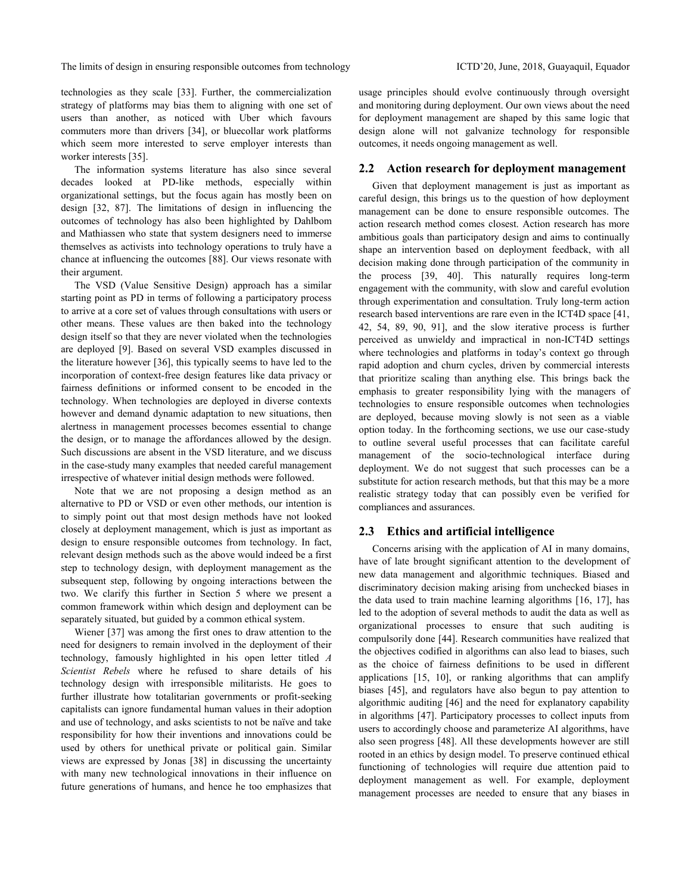technologies as they scale [33]. Further, the commercialization strategy of platforms may bias them to aligning with one set of users than another, as noticed with Uber which favours commuters more than drivers [34], or bluecollar work platforms which seem more interested to serve employer interests than worker interests [35].

The information systems literature has also since several decades looked at PD-like methods, especially within organizational settings, but the focus again has mostly been on design [32, 87]. The limitations of design in influencing the outcomes of technology has also been highlighted by Dahlbom and Mathiassen who state that system designers need to immerse themselves as activists into technology operations to truly have a chance at influencing the outcomes [88]. Our views resonate with their argument.

The VSD (Value Sensitive Design) approach has a similar starting point as PD in terms of following a participatory process to arrive at a core set of values through consultations with users or other means. These values are then baked into the technology design itself so that they are never violated when the technologies are deployed [9]. Based on several VSD examples discussed in the literature however [36], this typically seems to have led to the incorporation of context-free design features like data privacy or fairness definitions or informed consent to be encoded in the technology. When technologies are deployed in diverse contexts however and demand dynamic adaptation to new situations, then alertness in management processes becomes essential to change the design, or to manage the affordances allowed by the design. Such discussions are absent in the VSD literature, and we discuss in the case-study many examples that needed careful management irrespective of whatever initial design methods were followed.

Note that we are not proposing a design method as an alternative to PD or VSD or even other methods, our intention is to simply point out that most design methods have not looked closely at deployment management, which is just as important as design to ensure responsible outcomes from technology. In fact, relevant design methods such as the above would indeed be a first step to technology design, with deployment management as the subsequent step, following by ongoing interactions between the two. We clarify this further in Section 5 where we present a common framework within which design and deployment can be separately situated, but guided by a common ethical system.

Wiener [37] was among the first ones to draw attention to the need for designers to remain involved in the deployment of their technology, famously highlighted in his open letter titled *A Scientist Rebels* where he refused to share details of his technology design with irresponsible militarists. He goes to further illustrate how totalitarian governments or profit-seeking capitalists can ignore fundamental human values in their adoption and use of technology, and asks scientists to not be naïve and take responsibility for how their inventions and innovations could be used by others for unethical private or political gain. Similar views are expressed by Jonas [38] in discussing the uncertainty with many new technological innovations in their influence on future generations of humans, and hence he too emphasizes that

usage principles should evolve continuously through oversight and monitoring during deployment. Our own views about the need for deployment management are shaped by this same logic that design alone will not galvanize technology for responsible outcomes, it needs ongoing management as well.

### **2.2 Action research for deployment management**

Given that deployment management is just as important as careful design, this brings us to the question of how deployment management can be done to ensure responsible outcomes. The action research method comes closest. Action research has more ambitious goals than participatory design and aims to continually shape an intervention based on deployment feedback, with all decision making done through participation of the community in the process [39, 40]. This naturally requires long-term engagement with the community, with slow and careful evolution through experimentation and consultation. Truly long-term action research based interventions are rare even in the ICT4D space [41, 42, 54, 89, 90, 91], and the slow iterative process is further perceived as unwieldy and impractical in non-ICT4D settings where technologies and platforms in today's context go through rapid adoption and churn cycles, driven by commercial interests that prioritize scaling than anything else. This brings back the emphasis to greater responsibility lying with the managers of technologies to ensure responsible outcomes when technologies are deployed, because moving slowly is not seen as a viable option today. In the forthcoming sections, we use our case-study to outline several useful processes that can facilitate careful management of the socio-technological interface during deployment. We do not suggest that such processes can be a substitute for action research methods, but that this may be a more realistic strategy today that can possibly even be verified for compliances and assurances.

# **2.3 Ethics and artificial intelligence**

Concerns arising with the application of AI in many domains, have of late brought significant attention to the development of new data management and algorithmic techniques. Biased and discriminatory decision making arising from unchecked biases in the data used to train machine learning algorithms [16, 17], has led to the adoption of several methods to audit the data as well as organizational processes to ensure that such auditing is compulsorily done [44]. Research communities have realized that the objectives codified in algorithms can also lead to biases, such as the choice of fairness definitions to be used in different applications [15, 10], or ranking algorithms that can amplify biases [45], and regulators have also begun to pay attention to algorithmic auditing [46] and the need for explanatory capability in algorithms [47]. Participatory processes to collect inputs from users to accordingly choose and parameterize AI algorithms, have also seen progress [48]. All these developments however are still rooted in an ethics by design model. To preserve continued ethical functioning of technologies will require due attention paid to deployment management as well. For example, deployment management processes are needed to ensure that any biases in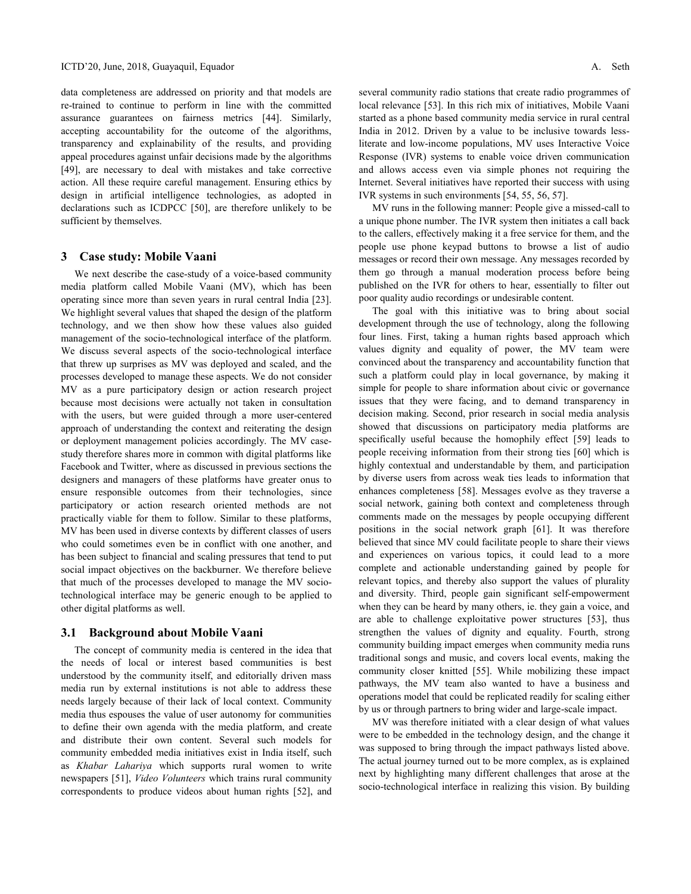data completeness are addressed on priority and that models are re-trained to continue to perform in line with the committed assurance guarantees on fairness metrics [44]. Similarly, accepting accountability for the outcome of the algorithms, transparency and explainability of the results, and providing appeal procedures against unfair decisions made by the algorithms [49], are necessary to deal with mistakes and take corrective action. All these require careful management. Ensuring ethics by design in artificial intelligence technologies, as adopted in declarations such as ICDPCC [50], are therefore unlikely to be sufficient by themselves.

# **3 Case study: Mobile Vaani**

We next describe the case-study of a voice-based community media platform called Mobile Vaani (MV), which has been operating since more than seven years in rural central India [23]. We highlight several values that shaped the design of the platform technology, and we then show how these values also guided management of the socio-technological interface of the platform. We discuss several aspects of the socio-technological interface that threw up surprises as MV was deployed and scaled, and the processes developed to manage these aspects. We do not consider MV as a pure participatory design or action research project because most decisions were actually not taken in consultation with the users, but were guided through a more user-centered approach of understanding the context and reiterating the design or deployment management policies accordingly. The MV casestudy therefore shares more in common with digital platforms like Facebook and Twitter, where as discussed in previous sections the designers and managers of these platforms have greater onus to ensure responsible outcomes from their technologies, since participatory or action research oriented methods are not practically viable for them to follow. Similar to these platforms, MV has been used in diverse contexts by different classes of users who could sometimes even be in conflict with one another, and has been subject to financial and scaling pressures that tend to put social impact objectives on the backburner. We therefore believe that much of the processes developed to manage the MV sociotechnological interface may be generic enough to be applied to other digital platforms as well.

# **3.1 Background about Mobile Vaani**

The concept of community media is centered in the idea that the needs of local or interest based communities is best understood by the community itself, and editorially driven mass media run by external institutions is not able to address these needs largely because of their lack of local context. Community media thus espouses the value of user autonomy for communities to define their own agenda with the media platform, and create and distribute their own content. Several such models for community embedded media initiatives exist in India itself, such as *Khabar Lahariya* which supports rural women to write newspapers [51], *Video Volunteers* which trains rural community correspondents to produce videos about human rights [52], and several community radio stations that create radio programmes of local relevance [53]. In this rich mix of initiatives, Mobile Vaani started as a phone based community media service in rural central India in 2012. Driven by a value to be inclusive towards lessliterate and low-income populations, MV uses Interactive Voice Response (IVR) systems to enable voice driven communication and allows access even via simple phones not requiring the Internet. Several initiatives have reported their success with using IVR systems in such environments [54, 55, 56, 57].

MV runs in the following manner: People give a missed-call to a unique phone number. The IVR system then initiates a call back to the callers, effectively making it a free service for them, and the people use phone keypad buttons to browse a list of audio messages or record their own message. Any messages recorded by them go through a manual moderation process before being published on the IVR for others to hear, essentially to filter out poor quality audio recordings or undesirable content.

The goal with this initiative was to bring about social development through the use of technology, along the following four lines. First, taking a human rights based approach which values dignity and equality of power, the MV team were convinced about the transparency and accountability function that such a platform could play in local governance, by making it simple for people to share information about civic or governance issues that they were facing, and to demand transparency in decision making. Second, prior research in social media analysis showed that discussions on participatory media platforms are specifically useful because the homophily effect [59] leads to people receiving information from their strong ties [60] which is highly contextual and understandable by them, and participation by diverse users from across weak ties leads to information that enhances completeness [58]. Messages evolve as they traverse a social network, gaining both context and completeness through comments made on the messages by people occupying different positions in the social network graph [61]. It was therefore believed that since MV could facilitate people to share their views and experiences on various topics, it could lead to a more complete and actionable understanding gained by people for relevant topics, and thereby also support the values of plurality and diversity. Third, people gain significant self-empowerment when they can be heard by many others, ie. they gain a voice, and are able to challenge exploitative power structures [53], thus strengthen the values of dignity and equality. Fourth, strong community building impact emerges when community media runs traditional songs and music, and covers local events, making the community closer knitted [55]. While mobilizing these impact pathways, the MV team also wanted to have a business and operations model that could be replicated readily for scaling either by us or through partners to bring wider and large-scale impact.

MV was therefore initiated with a clear design of what values were to be embedded in the technology design, and the change it was supposed to bring through the impact pathways listed above. The actual journey turned out to be more complex, as is explained next by highlighting many different challenges that arose at the socio-technological interface in realizing this vision. By building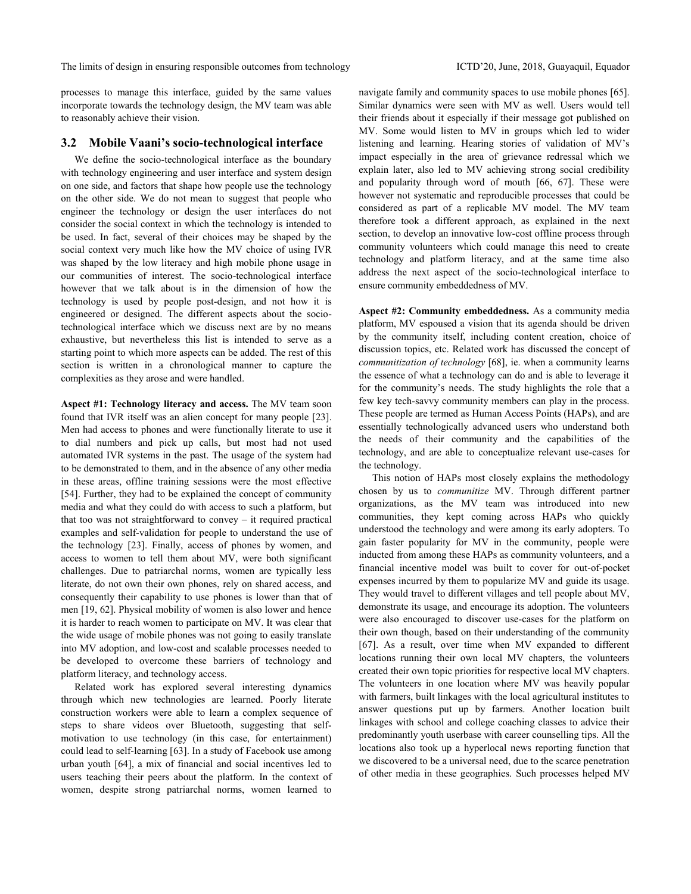The limits of design in ensuring responsible outcomes from technology ICTD'20, June, 2018, Guayaquil, Equador

processes to manage this interface, guided by the same values incorporate towards the technology design, the MV team was able to reasonably achieve their vision.

# **3.2 Mobile Vaani's socio-technological interface**

We define the socio-technological interface as the boundary with technology engineering and user interface and system design on one side, and factors that shape how people use the technology on the other side. We do not mean to suggest that people who engineer the technology or design the user interfaces do not consider the social context in which the technology is intended to be used. In fact, several of their choices may be shaped by the social context very much like how the MV choice of using IVR was shaped by the low literacy and high mobile phone usage in our communities of interest. The socio-technological interface however that we talk about is in the dimension of how the technology is used by people post-design, and not how it is engineered or designed. The different aspects about the sociotechnological interface which we discuss next are by no means exhaustive, but nevertheless this list is intended to serve as a starting point to which more aspects can be added. The rest of this section is written in a chronological manner to capture the complexities as they arose and were handled.

**Aspect #1: Technology literacy and access.** The MV team soon found that IVR itself was an alien concept for many people [23]. Men had access to phones and were functionally literate to use it to dial numbers and pick up calls, but most had not used automated IVR systems in the past. The usage of the system had to be demonstrated to them, and in the absence of any other media in these areas, offline training sessions were the most effective [54]. Further, they had to be explained the concept of community media and what they could do with access to such a platform, but that too was not straightforward to convey – it required practical examples and self-validation for people to understand the use of the technology [23]. Finally, access of phones by women, and access to women to tell them about MV, were both significant challenges. Due to patriarchal norms, women are typically less literate, do not own their own phones, rely on shared access, and consequently their capability to use phones is lower than that of men [19, 62]. Physical mobility of women is also lower and hence it is harder to reach women to participate on MV. It was clear that the wide usage of mobile phones was not going to easily translate into MV adoption, and low-cost and scalable processes needed to be developed to overcome these barriers of technology and platform literacy, and technology access.

Related work has explored several interesting dynamics through which new technologies are learned. Poorly literate construction workers were able to learn a complex sequence of steps to share videos over Bluetooth, suggesting that selfmotivation to use technology (in this case, for entertainment) could lead to self-learning [63]. In a study of Facebook use among urban youth [64], a mix of financial and social incentives led to users teaching their peers about the platform. In the context of women, despite strong patriarchal norms, women learned to

navigate family and community spaces to use mobile phones [65]. Similar dynamics were seen with MV as well. Users would tell their friends about it especially if their message got published on MV. Some would listen to MV in groups which led to wider listening and learning. Hearing stories of validation of MV's impact especially in the area of grievance redressal which we explain later, also led to MV achieving strong social credibility and popularity through word of mouth [66, 67]. These were however not systematic and reproducible processes that could be considered as part of a replicable MV model. The MV team therefore took a different approach, as explained in the next section, to develop an innovative low-cost offline process through community volunteers which could manage this need to create technology and platform literacy, and at the same time also address the next aspect of the socio-technological interface to ensure community embeddedness of MV.

**Aspect #2: Community embeddedness.** As a community media platform, MV espoused a vision that its agenda should be driven by the community itself, including content creation, choice of discussion topics, etc. Related work has discussed the concept of *communitization of technology* [68], ie. when a community learns the essence of what a technology can do and is able to leverage it for the community's needs. The study highlights the role that a few key tech-savvy community members can play in the process. These people are termed as Human Access Points (HAPs), and are essentially technologically advanced users who understand both the needs of their community and the capabilities of the technology, and are able to conceptualize relevant use-cases for the technology.

This notion of HAPs most closely explains the methodology chosen by us to *communitize* MV. Through different partner organizations, as the MV team was introduced into new communities, they kept coming across HAPs who quickly understood the technology and were among its early adopters. To gain faster popularity for MV in the community, people were inducted from among these HAPs as community volunteers, and a financial incentive model was built to cover for out-of-pocket expenses incurred by them to popularize MV and guide its usage. They would travel to different villages and tell people about MV, demonstrate its usage, and encourage its adoption. The volunteers were also encouraged to discover use-cases for the platform on their own though, based on their understanding of the community [67]. As a result, over time when MV expanded to different locations running their own local MV chapters, the volunteers created their own topic priorities for respective local MV chapters. The volunteers in one location where MV was heavily popular with farmers, built linkages with the local agricultural institutes to answer questions put up by farmers. Another location built linkages with school and college coaching classes to advice their predominantly youth userbase with career counselling tips. All the locations also took up a hyperlocal news reporting function that we discovered to be a universal need, due to the scarce penetration of other media in these geographies. Such processes helped MV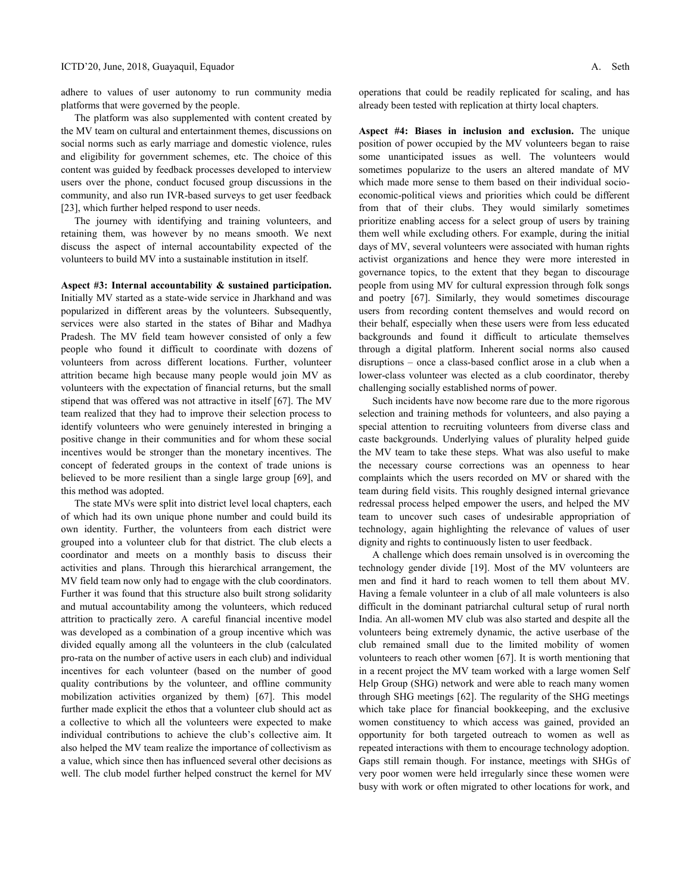adhere to values of user autonomy to run community media platforms that were governed by the people.

The platform was also supplemented with content created by the MV team on cultural and entertainment themes, discussions on social norms such as early marriage and domestic violence, rules and eligibility for government schemes, etc. The choice of this content was guided by feedback processes developed to interview users over the phone, conduct focused group discussions in the community, and also run IVR-based surveys to get user feedback [23], which further helped respond to user needs.

The journey with identifying and training volunteers, and retaining them, was however by no means smooth. We next discuss the aspect of internal accountability expected of the volunteers to build MV into a sustainable institution in itself.

**Aspect #3: Internal accountability & sustained participation.**

Initially MV started as a state-wide service in Jharkhand and was popularized in different areas by the volunteers. Subsequently, services were also started in the states of Bihar and Madhya Pradesh. The MV field team however consisted of only a few people who found it difficult to coordinate with dozens of volunteers from across different locations. Further, volunteer attrition became high because many people would join MV as volunteers with the expectation of financial returns, but the small stipend that was offered was not attractive in itself [67]. The MV team realized that they had to improve their selection process to identify volunteers who were genuinely interested in bringing a positive change in their communities and for whom these social incentives would be stronger than the monetary incentives. The concept of federated groups in the context of trade unions is believed to be more resilient than a single large group [69], and this method was adopted.

The state MVs were split into district level local chapters, each of which had its own unique phone number and could build its own identity. Further, the volunteers from each district were grouped into a volunteer club for that district. The club elects a coordinator and meets on a monthly basis to discuss their activities and plans. Through this hierarchical arrangement, the MV field team now only had to engage with the club coordinators. Further it was found that this structure also built strong solidarity and mutual accountability among the volunteers, which reduced attrition to practically zero. A careful financial incentive model was developed as a combination of a group incentive which was divided equally among all the volunteers in the club (calculated pro-rata on the number of active users in each club) and individual incentives for each volunteer (based on the number of good quality contributions by the volunteer, and offline community mobilization activities organized by them) [67]. This model further made explicit the ethos that a volunteer club should act as a collective to which all the volunteers were expected to make individual contributions to achieve the club's collective aim. It also helped the MV team realize the importance of collectivism as a value, which since then has influenced several other decisions as well. The club model further helped construct the kernel for MV operations that could be readily replicated for scaling, and has already been tested with replication at thirty local chapters.

**Aspect #4: Biases in inclusion and exclusion.** The unique position of power occupied by the MV volunteers began to raise some unanticipated issues as well. The volunteers would sometimes popularize to the users an altered mandate of MV which made more sense to them based on their individual socioeconomic-political views and priorities which could be different from that of their clubs. They would similarly sometimes prioritize enabling access for a select group of users by training them well while excluding others. For example, during the initial days of MV, several volunteers were associated with human rights activist organizations and hence they were more interested in governance topics, to the extent that they began to discourage people from using MV for cultural expression through folk songs and poetry [67]. Similarly, they would sometimes discourage users from recording content themselves and would record on their behalf, especially when these users were from less educated backgrounds and found it difficult to articulate themselves through a digital platform. Inherent social norms also caused disruptions – once a class-based conflict arose in a club when a lower-class volunteer was elected as a club coordinator, thereby challenging socially established norms of power.

Such incidents have now become rare due to the more rigorous selection and training methods for volunteers, and also paying a special attention to recruiting volunteers from diverse class and caste backgrounds. Underlying values of plurality helped guide the MV team to take these steps. What was also useful to make the necessary course corrections was an openness to hear complaints which the users recorded on MV or shared with the team during field visits. This roughly designed internal grievance redressal process helped empower the users, and helped the MV team to uncover such cases of undesirable appropriation of technology, again highlighting the relevance of values of user dignity and rights to continuously listen to user feedback.

A challenge which does remain unsolved is in overcoming the technology gender divide [19]. Most of the MV volunteers are men and find it hard to reach women to tell them about MV. Having a female volunteer in a club of all male volunteers is also difficult in the dominant patriarchal cultural setup of rural north India. An all-women MV club was also started and despite all the volunteers being extremely dynamic, the active userbase of the club remained small due to the limited mobility of women volunteers to reach other women [67]. It is worth mentioning that in a recent project the MV team worked with a large women Self Help Group (SHG) network and were able to reach many women through SHG meetings [62]. The regularity of the SHG meetings which take place for financial bookkeeping, and the exclusive women constituency to which access was gained, provided an opportunity for both targeted outreach to women as well as repeated interactions with them to encourage technology adoption. Gaps still remain though. For instance, meetings with SHGs of very poor women were held irregularly since these women were busy with work or often migrated to other locations for work, and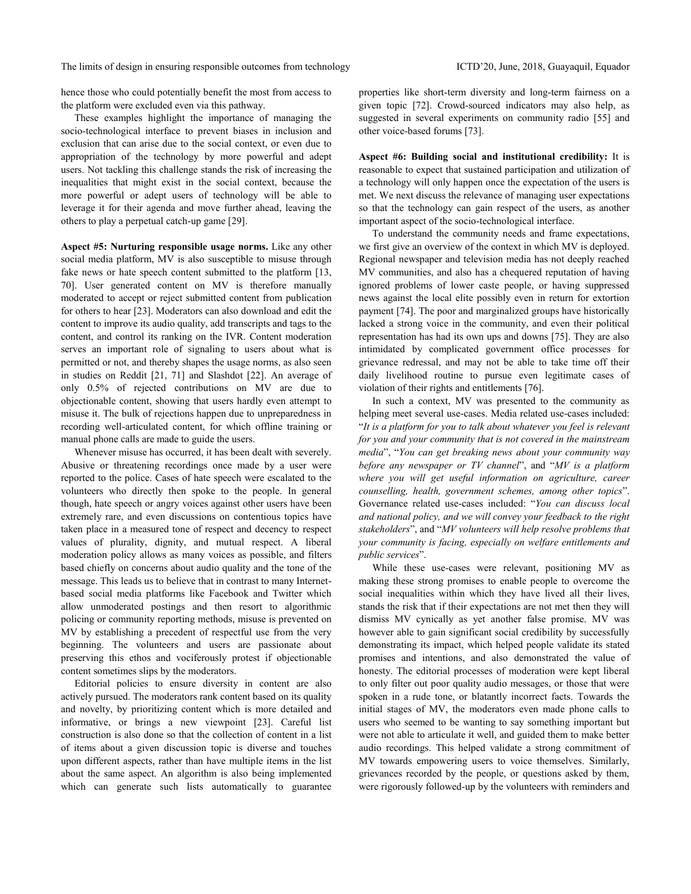hence those who could potentially benefit the most from access to the platform were excluded even via this pathway.

These examples highlight the importance of managing the socio-technological interface to prevent biases in inclusion and exclusion that can arise due to the social context, or even due to appropriation of the technology by more powerful and adept users. Not tackling this challenge stands the risk of increasing the inequalities that might exist in the social context, because the more powerful or adept users of technology will be able to leverage it for their agenda and move further ahead, leaving the others to play a perpetual catch-up game [29].

**Aspect #5: Nurturing responsible usage norms.** Like any other social media platform, MV is also susceptible to misuse through fake news or hate speech content submitted to the platform [13, 70]. User generated content on MV is therefore manually moderated to accept or reject submitted content from publication for others to hear [23]. Moderators can also download and edit the content to improve its audio quality, add transcripts and tags to the content, and control its ranking on the IVR. Content moderation serves an important role of signaling to users about what is permitted or not, and thereby shapes the usage norms, as also seen in studies on Reddit [21, 71] and Slashdot [22]. An average of only 0.5% of rejected contributions on MV are due to objectionable content, showing that users hardly even attempt to misuse it. The bulk of rejections happen due to unpreparedness in recording well-articulated content, for which offline training or manual phone calls are made to guide the users.

Whenever misuse has occurred, it has been dealt with severely. Abusive or threatening recordings once made by a user were reported to the police. Cases of hate speech were escalated to the volunteers who directly then spoke to the people. In general though, hate speech or angry voices against other users have been extremely rare, and even discussions on contentious topics have taken place in a measured tone of respect and decency to respect values of plurality, dignity, and mutual respect. A liberal moderation policy allows as many voices as possible, and filters based chiefly on concerns about audio quality and the tone of the message. This leads us to believe that in contrast to many Internetbased social media platforms like Facebook and Twitter which allow unmoderated postings and then resort to algorithmic policing or community reporting methods, misuse is prevented on MV by establishing a precedent of respectful use from the very beginning. The volunteers and users are passionate about preserving this ethos and vociferously protest if objectionable content sometimes slips by the moderators.

Editorial policies to ensure diversity in content are also actively pursued. The moderators rank content based on its quality and novelty, by prioritizing content which is more detailed and informative, or brings a new viewpoint [23]. Careful list construction is also done so that the collection of content in a list of items about a given discussion topic is diverse and touches upon different aspects, rather than have multiple items in the list about the same aspect. An algorithm is also being implemented which can generate such lists automatically to guarantee properties like short-term diversity and long-term fairness on a given topic [72]. Crowd-sourced indicators may also help, as suggested in several experiments on community radio [55] and other voice-based forums [73].

**Aspect #6: Building social and institutional credibility:** It is reasonable to expect that sustained participation and utilization of a technology will only happen once the expectation of the users is met. We next discuss the relevance of managing user expectations so that the technology can gain respect of the users, as another important aspect of the socio-technological interface.

To understand the community needs and frame expectations, we first give an overview of the context in which MV is deployed. Regional newspaper and television media has not deeply reached MV communities, and also has a chequered reputation of having ignored problems of lower caste people, or having suppressed news against the local elite possibly even in return for extortion payment [74]. The poor and marginalized groups have historically lacked a strong voice in the community, and even their political representation has had its own ups and downs [75]. They are also intimidated by complicated government office processes for grievance redressal, and may not be able to take time off their daily livelihood routine to pursue even legitimate cases of violation of their rights and entitlements [76].

In such a context, MV was presented to the community as helping meet several use-cases. Media related use-cases included: "*It is a platform for you to talk about whatever you feel is relevant for you and your community that is not covered in the mainstream media*", "*You can get breaking news about your community way before any newspaper or TV channel*", and "*MV is a platform where you will get useful information on agriculture, career counselling, health, government schemes, among other topics*". Governance related use-cases included: "*You can discuss local and national policy, and we will convey your feedback to the right stakeholders*", and "*MV volunteers will help resolve problems that your community is facing, especially on welfare entitlements and public services*".

While these use-cases were relevant, positioning MV as making these strong promises to enable people to overcome the social inequalities within which they have lived all their lives, stands the risk that if their expectations are not met then they will dismiss MV cynically as yet another false promise. MV was however able to gain significant social credibility by successfully demonstrating its impact, which helped people validate its stated promises and intentions, and also demonstrated the value of honesty. The editorial processes of moderation were kept liberal to only filter out poor quality audio messages, or those that were spoken in a rude tone, or blatantly incorrect facts. Towards the initial stages of MV, the moderators even made phone calls to users who seemed to be wanting to say something important but were not able to articulate it well, and guided them to make better audio recordings. This helped validate a strong commitment of MV towards empowering users to voice themselves. Similarly, grievances recorded by the people, or questions asked by them, were rigorously followed-up by the volunteers with reminders and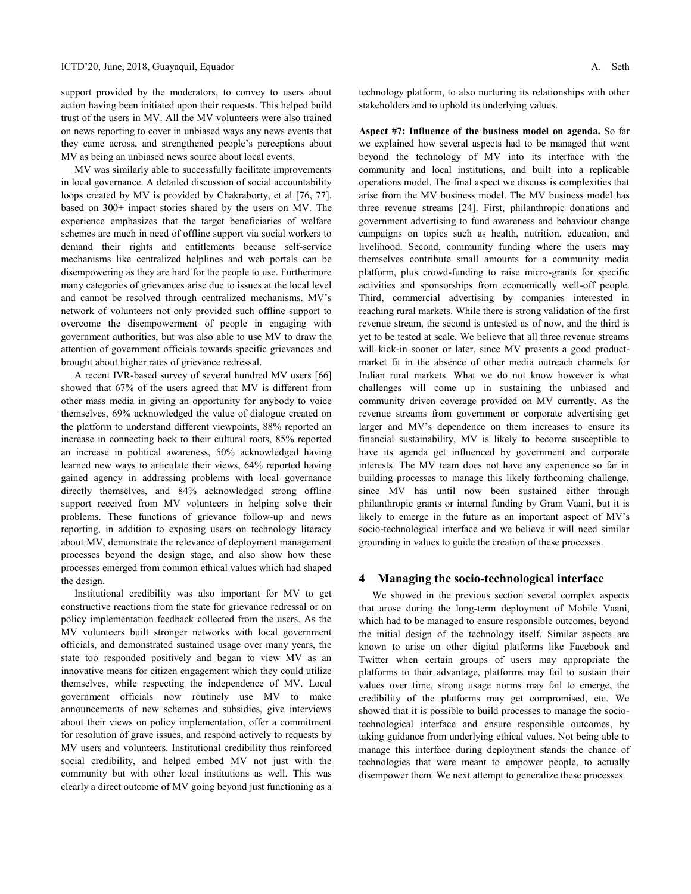support provided by the moderators, to convey to users about action having been initiated upon their requests. This helped build trust of the users in MV. All the MV volunteers were also trained on news reporting to cover in unbiased ways any news events that they came across, and strengthened people's perceptions about MV as being an unbiased news source about local events.

MV was similarly able to successfully facilitate improvements in local governance. A detailed discussion of social accountability loops created by MV is provided by Chakraborty, et al [76, 77], based on 300+ impact stories shared by the users on MV. The experience emphasizes that the target beneficiaries of welfare schemes are much in need of offline support via social workers to demand their rights and entitlements because self-service mechanisms like centralized helplines and web portals can be disempowering as they are hard for the people to use. Furthermore many categories of grievances arise due to issues at the local level and cannot be resolved through centralized mechanisms. MV's network of volunteers not only provided such offline support to overcome the disempowerment of people in engaging with government authorities, but was also able to use MV to draw the attention of government officials towards specific grievances and brought about higher rates of grievance redressal.

A recent IVR-based survey of several hundred MV users [66] showed that 67% of the users agreed that MV is different from other mass media in giving an opportunity for anybody to voice themselves, 69% acknowledged the value of dialogue created on the platform to understand different viewpoints, 88% reported an increase in connecting back to their cultural roots, 85% reported an increase in political awareness, 50% acknowledged having learned new ways to articulate their views, 64% reported having gained agency in addressing problems with local governance directly themselves, and 84% acknowledged strong offline support received from MV volunteers in helping solve their problems. These functions of grievance follow-up and news reporting, in addition to exposing users on technology literacy about MV, demonstrate the relevance of deployment management processes beyond the design stage, and also show how these processes emerged from common ethical values which had shaped the design.

Institutional credibility was also important for MV to get constructive reactions from the state for grievance redressal or on policy implementation feedback collected from the users. As the MV volunteers built stronger networks with local government officials, and demonstrated sustained usage over many years, the state too responded positively and began to view MV as an innovative means for citizen engagement which they could utilize themselves, while respecting the independence of MV. Local government officials now routinely use MV to make announcements of new schemes and subsidies, give interviews about their views on policy implementation, offer a commitment for resolution of grave issues, and respond actively to requests by MV users and volunteers. Institutional credibility thus reinforced social credibility, and helped embed MV not just with the community but with other local institutions as well. This was clearly a direct outcome of MV going beyond just functioning as a

technology platform, to also nurturing its relationships with other stakeholders and to uphold its underlying values.

**Aspect #7: Influence of the business model on agenda.** So far we explained how several aspects had to be managed that went beyond the technology of MV into its interface with the community and local institutions, and built into a replicable operations model. The final aspect we discuss is complexities that arise from the MV business model. The MV business model has three revenue streams [24]. First, philanthropic donations and government advertising to fund awareness and behaviour change campaigns on topics such as health, nutrition, education, and livelihood. Second, community funding where the users may themselves contribute small amounts for a community media platform, plus crowd-funding to raise micro-grants for specific activities and sponsorships from economically well-off people. Third, commercial advertising by companies interested in reaching rural markets. While there is strong validation of the first revenue stream, the second is untested as of now, and the third is yet to be tested at scale. We believe that all three revenue streams will kick-in sooner or later, since MV presents a good productmarket fit in the absence of other media outreach channels for Indian rural markets. What we do not know however is what challenges will come up in sustaining the unbiased and community driven coverage provided on MV currently. As the revenue streams from government or corporate advertising get larger and MV's dependence on them increases to ensure its financial sustainability, MV is likely to become susceptible to have its agenda get influenced by government and corporate interests. The MV team does not have any experience so far in building processes to manage this likely forthcoming challenge, since MV has until now been sustained either through philanthropic grants or internal funding by Gram Vaani, but it is likely to emerge in the future as an important aspect of MV's socio-technological interface and we believe it will need similar grounding in values to guide the creation of these processes.

# **4 Managing the socio-technological interface**

We showed in the previous section several complex aspects that arose during the long-term deployment of Mobile Vaani, which had to be managed to ensure responsible outcomes, beyond the initial design of the technology itself. Similar aspects are known to arise on other digital platforms like Facebook and Twitter when certain groups of users may appropriate the platforms to their advantage, platforms may fail to sustain their values over time, strong usage norms may fail to emerge, the credibility of the platforms may get compromised, etc. We showed that it is possible to build processes to manage the sociotechnological interface and ensure responsible outcomes, by taking guidance from underlying ethical values. Not being able to manage this interface during deployment stands the chance of technologies that were meant to empower people, to actually disempower them. We next attempt to generalize these processes.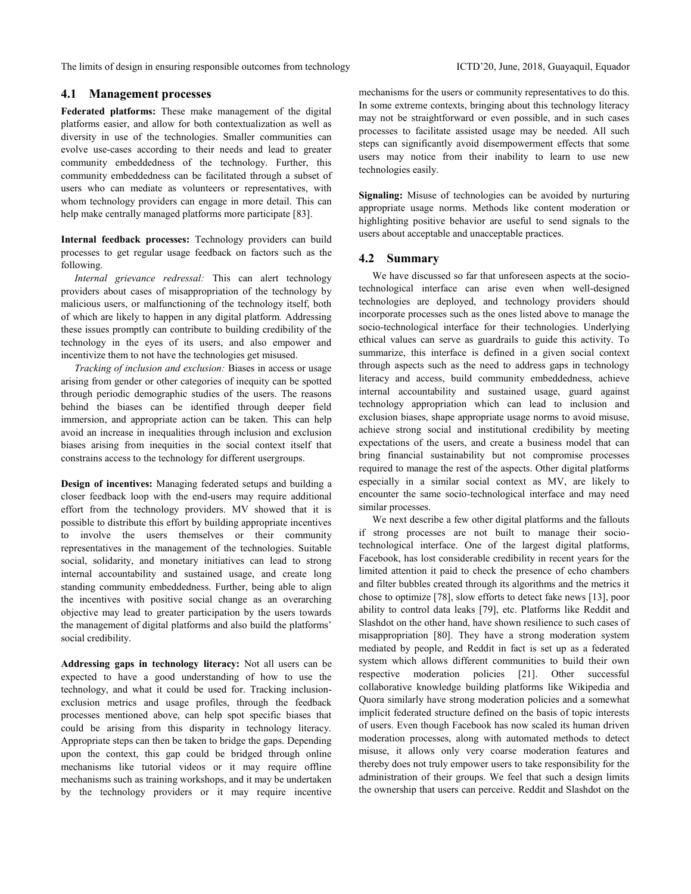The limits of design in ensuring responsible outcomes from technology ICTD'20, June, 2018, Guayaquil, Equador

# **4.1 Management processes**

**Federated platforms:** These make management of the digital platforms easier, and allow for both contextualization as well as diversity in use of the technologies. Smaller communities can evolve use-cases according to their needs and lead to greater community embeddedness of the technology. Further, this community embeddedness can be facilitated through a subset of users who can mediate as volunteers or representatives, with whom technology providers can engage in more detail. This can help make centrally managed platforms more participate [83].

**Internal feedback processes:** Technology providers can build processes to get regular usage feedback on factors such as the following.

*Internal grievance redressal:* This can alert technology providers about cases of misappropriation of the technology by malicious users, or malfunctioning of the technology itself, both of which are likely to happen in any digital platform*.* Addressing these issues promptly can contribute to building credibility of the technology in the eyes of its users, and also empower and incentivize them to not have the technologies get misused.

*Tracking of inclusion and exclusion:* Biases in access or usage arising from gender or other categories of inequity can be spotted through periodic demographic studies of the users. The reasons behind the biases can be identified through deeper field immersion, and appropriate action can be taken. This can help avoid an increase in inequalities through inclusion and exclusion biases arising from inequities in the social context itself that constrains access to the technology for different usergroups.

**Design of incentives:** Managing federated setups and building a closer feedback loop with the end-users may require additional effort from the technology providers. MV showed that it is possible to distribute this effort by building appropriate incentives to involve the users themselves or their community representatives in the management of the technologies. Suitable social, solidarity, and monetary initiatives can lead to strong internal accountability and sustained usage, and create long standing community embeddedness. Further, being able to align the incentives with positive social change as an overarching objective may lead to greater participation by the users towards the management of digital platforms and also build the platforms' social credibility.

**Addressing gaps in technology literacy:** Not all users can be expected to have a good understanding of how to use the technology, and what it could be used for. Tracking inclusionexclusion metrics and usage profiles, through the feedback processes mentioned above, can help spot specific biases that could be arising from this disparity in technology literacy. Appropriate steps can then be taken to bridge the gaps. Depending upon the context, this gap could be bridged through online mechanisms like tutorial videos or it may require offline mechanisms such as training workshops, and it may be undertaken by the technology providers or it may require incentive

mechanisms for the users or community representatives to do this. In some extreme contexts, bringing about this technology literacy may not be straightforward or even possible, and in such cases processes to facilitate assisted usage may be needed. All such steps can significantly avoid disempowerment effects that some users may notice from their inability to learn to use new technologies easily.

**Signaling:** Misuse of technologies can be avoided by nurturing appropriate usage norms. Methods like content moderation or highlighting positive behavior are useful to send signals to the users about acceptable and unacceptable practices.

# **4.2 Summary**

We have discussed so far that unforeseen aspects at the sociotechnological interface can arise even when well-designed technologies are deployed, and technology providers should incorporate processes such as the ones listed above to manage the socio-technological interface for their technologies. Underlying ethical values can serve as guardrails to guide this activity. To summarize, this interface is defined in a given social context through aspects such as the need to address gaps in technology literacy and access, build community embeddedness, achieve internal accountability and sustained usage, guard against technology appropriation which can lead to inclusion and exclusion biases, shape appropriate usage norms to avoid misuse, achieve strong social and institutional credibility by meeting expectations of the users, and create a business model that can bring financial sustainability but not compromise processes required to manage the rest of the aspects. Other digital platforms especially in a similar social context as MV, are likely to encounter the same socio-technological interface and may need similar processes.

We next describe a few other digital platforms and the fallouts if strong processes are not built to manage their sociotechnological interface. One of the largest digital platforms, Facebook, has lost considerable credibility in recent years for the limited attention it paid to check the presence of echo chambers and filter bubbles created through its algorithms and the metrics it chose to optimize [78], slow efforts to detect fake news [13], poor ability to control data leaks [79], etc. Platforms like Reddit and Slashdot on the other hand, have shown resilience to such cases of misappropriation [80]. They have a strong moderation system mediated by people, and Reddit in fact is set up as a federated system which allows different communities to build their own respective moderation policies [21]. Other successful collaborative knowledge building platforms like Wikipedia and Quora similarly have strong moderation policies and a somewhat implicit federated structure defined on the basis of topic interests of users. Even though Facebook has now scaled its human driven moderation processes, along with automated methods to detect misuse, it allows only very coarse moderation features and thereby does not truly empower users to take responsibility for the administration of their groups. We feel that such a design limits the ownership that users can perceive. Reddit and Slashdot on the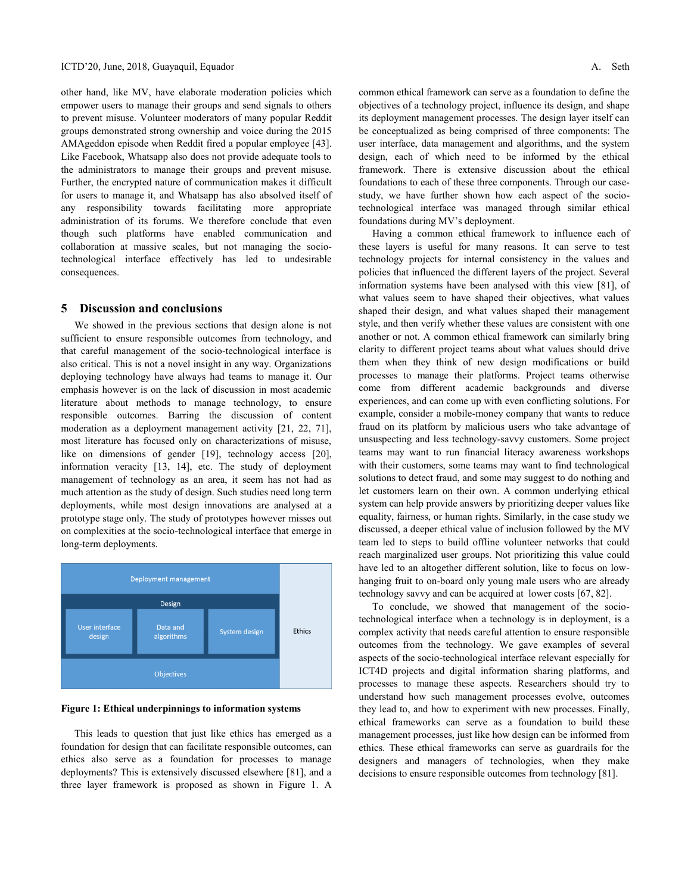other hand, like MV, have elaborate moderation policies which empower users to manage their groups and send signals to others to prevent misuse. Volunteer moderators of many popular Reddit groups demonstrated strong ownership and voice during the 2015 AMAgeddon episode when Reddit fired a popular employee [43]. Like Facebook, Whatsapp also does not provide adequate tools to the administrators to manage their groups and prevent misuse. Further, the encrypted nature of communication makes it difficult for users to manage it, and Whatsapp has also absolved itself of any responsibility towards facilitating more appropriate administration of its forums. We therefore conclude that even though such platforms have enabled communication and collaboration at massive scales, but not managing the sociotechnological interface effectively has led to undesirable consequences.

#### **5 Discussion and conclusions**

We showed in the previous sections that design alone is not sufficient to ensure responsible outcomes from technology, and that careful management of the socio-technological interface is also critical. This is not a novel insight in any way. Organizations deploying technology have always had teams to manage it. Our emphasis however is on the lack of discussion in most academic literature about methods to manage technology, to ensure responsible outcomes. Barring the discussion of content moderation as a deployment management activity [21, 22, 71], most literature has focused only on characterizations of misuse, like on dimensions of gender [19], technology access [20], information veracity [13, 14], etc. The study of deployment management of technology as an area, it seem has not had as much attention as the study of design. Such studies need long term deployments, while most design innovations are analysed at a prototype stage only. The study of prototypes however misses out on complexities at the socio-technological interface that emerge in long-term deployments.



**Figure 1: Ethical underpinnings to information systems**

This leads to question that just like ethics has emerged as a foundation for design that can facilitate responsible outcomes, can ethics also serve as a foundation for processes to manage deployments? This is extensively discussed elsewhere [81], and a three layer framework is proposed as shown in Figure 1. A common ethical framework can serve as a foundation to define the objectives of a technology project, influence its design, and shape its deployment management processes. The design layer itself can be conceptualized as being comprised of three components: The user interface, data management and algorithms, and the system design, each of which need to be informed by the ethical framework. There is extensive discussion about the ethical foundations to each of these three components. Through our casestudy, we have further shown how each aspect of the sociotechnological interface was managed through similar ethical foundations during MV's deployment.

Having a common ethical framework to influence each of these layers is useful for many reasons. It can serve to test technology projects for internal consistency in the values and policies that influenced the different layers of the project. Several information systems have been analysed with this view [81], of what values seem to have shaped their objectives, what values shaped their design, and what values shaped their management style, and then verify whether these values are consistent with one another or not. A common ethical framework can similarly bring clarity to different project teams about what values should drive them when they think of new design modifications or build processes to manage their platforms. Project teams otherwise come from different academic backgrounds and diverse experiences, and can come up with even conflicting solutions. For example, consider a mobile-money company that wants to reduce fraud on its platform by malicious users who take advantage of unsuspecting and less technology-savvy customers. Some project teams may want to run financial literacy awareness workshops with their customers, some teams may want to find technological solutions to detect fraud, and some may suggest to do nothing and let customers learn on their own. A common underlying ethical system can help provide answers by prioritizing deeper values like equality, fairness, or human rights. Similarly, in the case study we discussed, a deeper ethical value of inclusion followed by the MV team led to steps to build offline volunteer networks that could reach marginalized user groups. Not prioritizing this value could have led to an altogether different solution, like to focus on lowhanging fruit to on-board only young male users who are already technology savvy and can be acquired at lower costs [67, 82].

To conclude, we showed that management of the sociotechnological interface when a technology is in deployment, is a complex activity that needs careful attention to ensure responsible outcomes from the technology. We gave examples of several aspects of the socio-technological interface relevant especially for ICT4D projects and digital information sharing platforms, and processes to manage these aspects. Researchers should try to understand how such management processes evolve, outcomes they lead to, and how to experiment with new processes. Finally, ethical frameworks can serve as a foundation to build these management processes, just like how design can be informed from ethics. These ethical frameworks can serve as guardrails for the designers and managers of technologies, when they make decisions to ensure responsible outcomes from technology [81].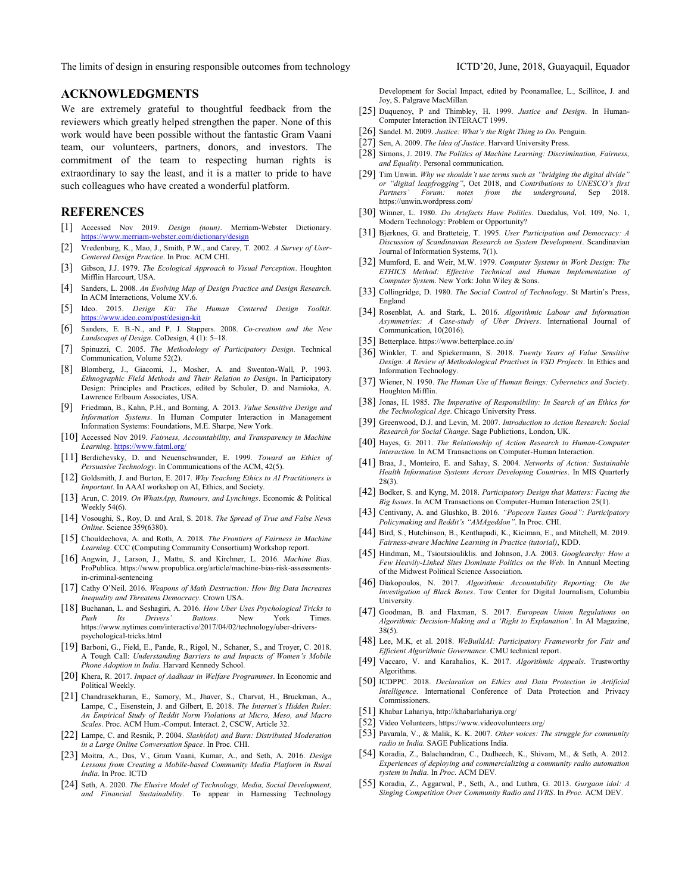The limits of design in ensuring responsible outcomes from technology ICTD'20, June, 2018, Guayaquil, Equador

#### **ACKNOWLEDGMENTS**

We are extremely grateful to thoughtful feedback from the reviewers which greatly helped strengthen the paper. None of this work would have been possible without the fantastic Gram Vaani team, our volunteers, partners, donors, and investors. The commitment of the team to respecting human rights is extraordinary to say the least, and it is a matter to pride to have such colleagues who have created a wonderful platform.

# **REFERENCES**

- [1] Accessed Nov 2019. *Design (noun)*. Merriam-Webster Dictionary. <https://www.merriam-webster.com/dictionary/design>
- [2] Vredenburg, K., Mao, J., Smith, P.W., and Carey, T. 2002. *A Survey of User-Centered Design Practice*. In Proc. ACM CHI.
- [3] Gibson, J.J. 1979. *The Ecological Approach to Visual Perception*. Houghton Mifflin Harcourt, USA.
- [4] Sanders, L. 2008. *An Evolving Map of Design Practice and Design Research.*  In ACM Interactions, Volume XV.6.
- [5] Ideo. 2015. *Design Kit: The Human Centered Design Toolkit*. <https://www.ideo.com/post/design-kit>
- [6] Sanders, E. B.-N., and P. J. Stappers. 2008. *Co-creation and the New Landscapes of Design*. CoDesign, 4 (1): 5–18.
- [7] Spinuzzi, C. 2005. *The Methodology of Participatory Design.* Technical Communication, Volume 52(2).
- [8] Blomberg, J., Giacomi, J., Mosher, A. and Swenton-Wall, P. 1993. *Ethnographic Field Methods and Their Relation to Design*. In Participatory Design: Principles and Practices, edited by Schuler, D. and Namioka, A. Lawrence Erlbaum Associates, USA.
- [9] Friedman, B., Kahn, P.H., and Borning, A*.* 2013. *Value Sensitive Design and Information Systems*. In Human Computer Interaction in Management Information Systems: Foundations, M.E. Sharpe, New York.
- [10] Accessed Nov 2019. *Fairness, Accountability, and Transparency in Machine*  Learning. https://www.fatml.org
- [11] Berdichevsky, D. and Neuenschwander, E. 1999. *Toward an Ethics of Persuasive Technology*. In Communications of the ACM, 42(5).
- [12] Goldsmith, J. and Burton, E. 2017. *Why Teaching Ethics to AI Practitioners is Important*. In AAAI workshop on AI, Ethics, and Society.
- [13] Arun, C. 2019. *On WhatsApp, Rumours, and Lynchings*. Economic & Political Weekly 54(6).
- [14] Vosoughi, S., Roy, D. and Aral, S. 2018. *The Spread of True and False News Online*. Science 359(6380).
- [15] Chouldechova, A. and Roth, A. 2018. *The Frontiers of Fairness in Machine Learning*. CCC (Computing Community Consortium) Workshop report.
- [16] Angwin, J., Larson, J., Mattu, S. and Kirchner, L. 2016. *Machine Bias*. ProPublica. https://www.propublica.org/article/machine-bias-risk-assessmentsin-criminal-sentencing
- [17] Cathy O'Neil. 2016. *Weapons of Math Destruction: How Big Data Increases Inequality and Threatens Democracy*. Crown USA.
- [18] Buchanan, L. and Seshagiri, A. 2016. *How Uber Uses Psychological Tricks to Push Its Drivers' Buttons*. New York Times. https://www.nytimes.com/interactive/2017/04/02/technology/uber-driverspsychological-tricks.html
- [19] Barboni, G., Field, E., Pande, R., Rigol, N., Schaner, S., and Troyer, C. 2018. A Tough Call: *Understanding Barriers to and Impacts of Women's Mobile Phone Adoption in India*. Harvard Kennedy School.
- [20] Khera, R. 2017. *Impact of Aadhaar in Welfare Programmes*. In Economic and Political Weekly.
- [21] Chandrasekharan, E., Samory, M., Jhaver, S., Charvat, H., Bruckman, A., Lampe, C., Eisenstein, J. and Gilbert, E. 2018. *The Internet's Hidden Rules: An Empirical Study of Reddit Norm Violations at Micro, Meso, and Macro Scales*. Proc. ACM Hum.-Comput. Interact. 2, CSCW, Article 32.
- [22] Lampe, C. and Resnik, P. 2004. *Slash(dot) and Burn: Distributed Moderation in a Large Online Conversation Space*. In Proc. CHI.
- [23] Moitra, A., Das, V., Gram Vaani, Kumar, A., and Seth, A. 2016. *Design Lessons from Creating a Mobile-based Community Media Platform in Rural India*. In Proc. ICTD
- [24] Seth, A. 2020. *The Elusive Model of Technology, Media, Social Development, and Financial Sustainability*. To appear in Harnessing Technology

Development for Social Impact, edited by Poonamallee, L., Scillitoe, J. and Joy, S. Palgrave MacMillan.

- [25] Duquenoy, P and Thimbley, H. 1999. *Justice and Design*. In Human-Computer Interaction INTERACT 1999.
- [26] Sandel. M. 2009. *Justice: What's the Right Thing to Do.* Penguin.
- [27] Sen, A. 2009. *The Idea of Justice*. Harvard University Press.
- [28] Simons, J. 2019. *The Politics of Machine Learning: Discrimination, Fairness, and Equality*. Personal communication.
- [29] Tim Unwin. *Why we shouldn't use terms such as "bridging the digital divide" or "digital leapfrogging"*, Oct 2018, and *Contributions to UNESCO's first Partners' Forum: notes from the underground*, Sep 2018. https://unwin.wordpress.com/
- [30] Winner, L. 1980. *Do Artefacts Have Politics*. Daedalus, Vol. 109, No. 1, Modern Technology: Problem or Opportunity?
- [31] Bjerknes, G. and Bratteteig, T. 1995. *User Participation and Democracy: A Discussion of Scandinavian Research on System Development*. Scandinavian Journal of Information Systems, 7(1).
- [32] Mumford, E. and Weir, M.W. 1979. *Computer Systems in Work Design: The ETHICS Method: Effective Technical and Human Implementation of Computer System*. New York: John Wiley & Sons.
- [33] Collingridge, D. 1980. *The Social Control of Technology*. St Martin's Press, England
- [34] Rosenblat, A. and Stark, L. 2016. *Algorithmic Labour and Information Asymmetries: A Case-study of Uber Drivers*. International Journal of Communication, 10(2016).
- [35] Betterplace. https://www.betterplace.co.in/
- [36] Winkler, T. and Spiekermann, S. 2018. *Twenty Years of Value Sensitive Design: A Review of Methodological Practives in VSD Projects*. In Ethics and Information Technology.
- [37] Wiener, N. 1950. *The Human Use of Human Beings: Cybernetics and Society*. Houghton Mifflin.
- [38] Jonas, H. 1985. *The Imperative of Responsibility: In Search of an Ethics for the Technological Age*. Chicago University Press.
- [39] Greenwood, D.J. and Levin, M. 2007. *Introduction to Action Research: Social Research for Social Change*. Sage Publictions, London, UK.
- [40] Hayes, G. 2011. *The Relationship of Action Research to Human-Computer Interaction*. In ACM Transactions on Computer-Human Interaction.
- [41] Braa, J., Monteiro, E. and Sahay, S. 2004. *Networks of Action: Sustainable Health Information Systems Across Developing Countries*. In MIS Quarterly 28(3).
- [42] Bodker, S. and Kyng, M. 2018. *Participatory Design that Matters: Facing the Big Issues*. In ACM Transactions on Computer-Human Interaction 25(1).
- [43] Centivany, A. and Glushko, B. 2016. *"Popcorn Tastes Good": Participatory Policymaking and Reddit's "AMAgeddon"*. In Proc. CHI.
- [44] Bird, S., Hutchinson, B., Kenthapadi, K., Kiciman, E., and Mitchell, M. 2019. *Fairness-aware Machine Learning in Practice (tutorial)*, KDD.
- [45] Hindman, M., Tsioutsiouliklis. and Johnson, J.A. 2003. *Googlearchy: How a Few Heavily-Linked Sites Dominate Politics on the Web*. In Annual Meeting of the Midwest Political Science Association.
- [46] Diakopoulos, N. 2017. *Algorithmic Accountability Reporting: On the Investigation of Black Boxes*. Tow Center for Digital Journalism, Columbia **University**
- [47] Goodman, B. and Flaxman, S. 2017. *European Union Regulations on Algorithmic Decision-Making and a 'Right to Explanation'*. In AI Magazine, 38(5).
- [48] Lee, M.K, et al. 2018. *WeBuildAI: Participatory Frameworks for Fair and Efficient Algorithmic Governance*. CMU technical report.
- [49] Vaccaro, V. and Karahalios, K. 2017. *Algorithmic Appeals*. Trustworthy Algorithms.
- [50] ICDPPC. 2018. *Declaration on Ethics and Data Protection in Artificial Intelligence*. International Conference of Data Protection and Privacy Commissioners.
- [51] Khabar Lahariya, http://khabarlahariya.org/
- [52] Video Volunteers, https://www.videovolunteers.org/
- [53] Pavarala, V., & Malik, K. K. 2007. *Other voices: The struggle for community radio in India*. SAGE Publications India.
- [54] Koradia, Z., Balachandran, C., Dadheech, K., Shivam, M., & Seth, A. 2012. *Experiences of deploying and commercializing a community radio automation system in India*. In *Proc.* ACM DEV.
- [55] Koradia, Z., Aggarwal, P., Seth, A., and Luthra, G. 2013. *Gurgaon idol: A Singing Competition Over Community Radio and IVRS*. In *Proc.* ACM DEV.